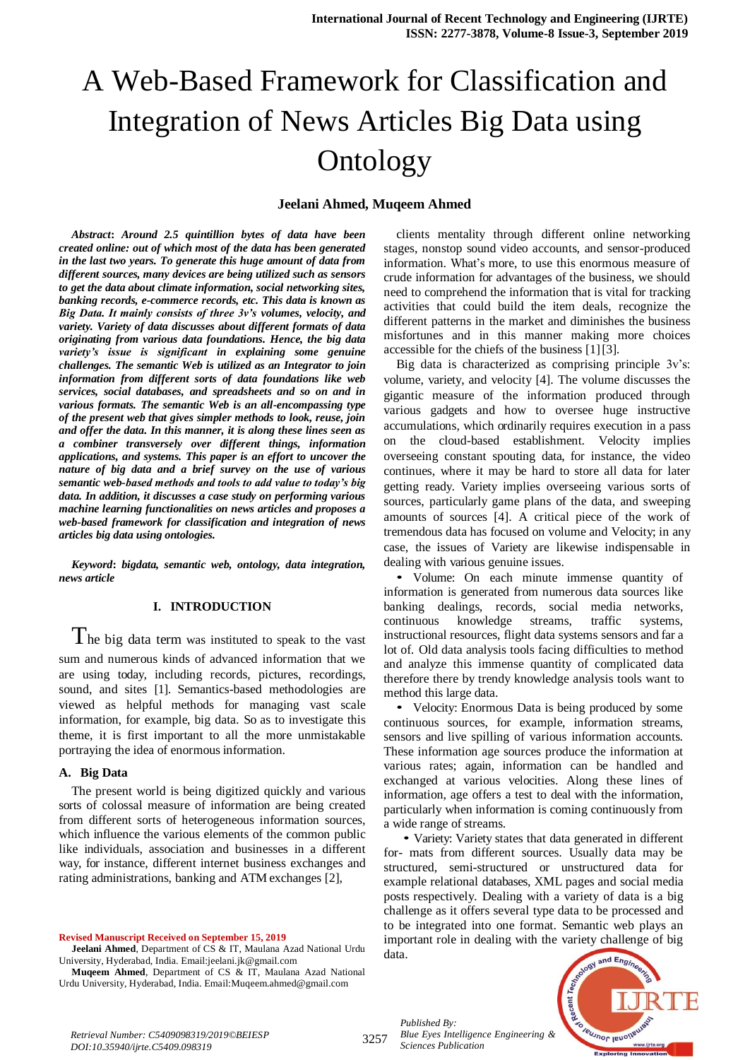# A Web-Based Framework for Classification and Integration of News Articles Big Data using Ontology

#### **Jeelani Ahmed, Muqeem Ahmed**

*Abstract***:** *Around 2.5 quintillion bytes of data have been created online: out of which most of the data has been generated in the last two years. To generate this huge amount of data from different sources, many devices are being utilized such as sensors to get the data about climate information, social networking sites, banking records, e-commerce records, etc. This data is known as Big Data. It mainly consists of three 3v's volumes, velocity, and variety. Variety of data discusses about different formats of data originating from various data foundations. Hence, the big data variety's issue is significant in explaining some genuine challenges. The semantic Web is utilized as an Integrator to join information from different sorts of data foundations like web services, social databases, and spreadsheets and so on and in various formats. The semantic Web is an all-encompassing type of the present web that gives simpler methods to look, reuse, join and offer the data. In this manner, it is along these lines seen as a combiner transversely over different things, information applications, and systems. This paper is an effort to uncover the nature of big data and a brief survey on the use of various semantic web-based methods and tools to add value to today's big data. In addition, it discusses a case study on performing various machine learning functionalities on news articles and proposes a web-based framework for classification and integration of news articles big data using ontologies.*

*Keyword***:** *bigdata, semantic web, ontology, data integration, news article* 

#### **I. INTRODUCTION**

The big data term was instituted to speak to the vast sum and numerous kinds of advanced information that we are using today, including records, pictures, recordings, sound, and sites [1]. Semantics-based methodologies are viewed as helpful methods for managing vast scale information, for example, big data. So as to investigate this theme, it is first important to all the more unmistakable portraying the idea of enormous information.

#### **A. Big Data**

The present world is being digitized quickly and various sorts of colossal measure of information are being created from different sorts of heterogeneous information sources, which influence the various elements of the common public like individuals, association and businesses in a different way, for instance, different internet business exchanges and rating administrations, banking and ATM exchanges [2],

**Revised Manuscript Received on September 15, 2019**

**Jeelani Ahmed**, Department of CS & IT, Maulana Azad National Urdu University, Hyderabad, India. Email:jeelani.jk@gmail.com

**Muqeem Ahmed**, Department of CS & IT, Maulana Azad National Urdu University, Hyderabad, India. Email:Muqeem.ahmed@gmail.com

clients mentality through different online networking stages, nonstop sound video accounts, and sensor-produced information. What's more, to use this enormous measure of crude information for advantages of the business, we should need to comprehend the information that is vital for tracking activities that could build the item deals, recognize the different patterns in the market and diminishes the business misfortunes and in this manner making more choices accessible for the chiefs of the business [1][3].

Big data is characterized as comprising principle 3v's: volume, variety, and velocity [4]. The volume discusses the gigantic measure of the information produced through various gadgets and how to oversee huge instructive accumulations, which ordinarily requires execution in a pass on the cloud-based establishment. Velocity implies overseeing constant spouting data, for instance, the video continues, where it may be hard to store all data for later getting ready. Variety implies overseeing various sorts of sources, particularly game plans of the data, and sweeping amounts of sources [4]. A critical piece of the work of tremendous data has focused on volume and Velocity; in any case, the issues of Variety are likewise indispensable in dealing with various genuine issues.

*•* Volume: On each minute immense quantity of information is generated from numerous data sources like banking dealings, records, social media networks, continuous knowledge streams, traffic systems, instructional resources, flight data systems sensors and far a lot of. Old data analysis tools facing difficulties to method and analyze this immense quantity of complicated data therefore there by trendy knowledge analysis tools want to method this large data.

*•* Velocity: Enormous Data is being produced by some continuous sources, for example, information streams, sensors and live spilling of various information accounts. These information age sources produce the information at various rates; again, information can be handled and exchanged at various velocities. Along these lines of information, age offers a test to deal with the information, particularly when information is coming continuously from a wide range of streams.

*•* Variety: Variety states that data generated in different for- mats from different sources. Usually data may be structured, semi-structured or unstructured data for example relational databases, XML pages and social media posts respectively. Dealing with a variety of data is a big challenge as it offers several type data to be processed and to be integrated into one format. Semantic web plays an important role in dealing with the variety challenge of big data.

*Published By: Blue Eyes Intelligence Engineering & Sciences Publication* 



*Retrieval Number: C5409098319/2019©BEIESP DOI:10.35940/ijrte.C5409.098319*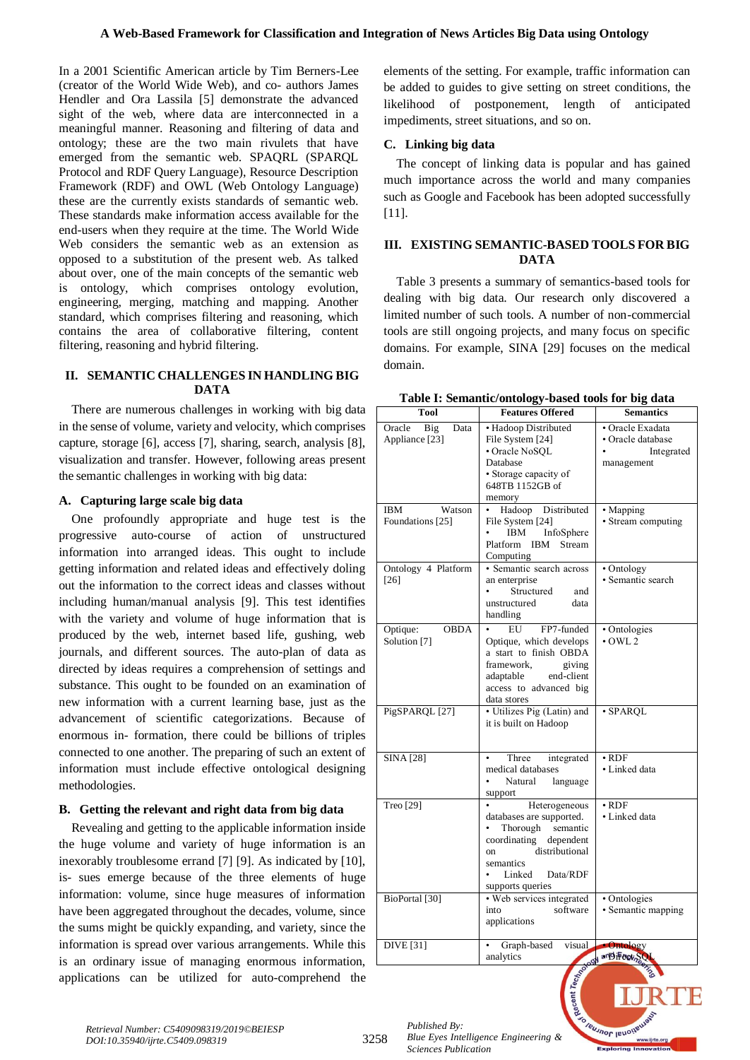In a 2001 Scientific American article by Tim Berners-Lee (creator of the World Wide Web), and co- authors James Hendler and Ora Lassila [5] demonstrate the advanced sight of the web, where data are interconnected in a meaningful manner. Reasoning and filtering of data and ontology; these are the two main rivulets that have emerged from the semantic web. SPAQRL (SPARQL Protocol and RDF Query Language), Resource Description Framework (RDF) and OWL (Web Ontology Language) these are the currently exists standards of semantic web. These standards make information access available for the end-users when they require at the time. The World Wide Web considers the semantic web as an extension as opposed to a substitution of the present web. As talked about over, one of the main concepts of the semantic web is ontology, which comprises ontology evolution, engineering, merging, matching and mapping. Another standard, which comprises filtering and reasoning, which contains the area of collaborative filtering, content filtering, reasoning and hybrid filtering.

## **II. SEMANTIC CHALLENGES IN HANDLING BIG DATA**

There are numerous challenges in working with big data in the sense of volume, variety and velocity, which comprises capture, storage [6], access [7], sharing, search, analysis [8], visualization and transfer. However, following areas present the semantic challenges in working with big data:

## **A. Capturing large scale big data**

One profoundly appropriate and huge test is the progressive auto-course of action of unstructured information into arranged ideas. This ought to include getting information and related ideas and effectively doling out the information to the correct ideas and classes without including human/manual analysis [9]. This test identifies with the variety and volume of huge information that is produced by the web, internet based life, gushing, web journals, and different sources. The auto-plan of data as directed by ideas requires a comprehension of settings and substance. This ought to be founded on an examination of new information with a current learning base, just as the advancement of scientific categorizations. Because of enormous in- formation, there could be billions of triples connected to one another. The preparing of such an extent of information must include effective ontological designing methodologies.

## **B. Getting the relevant and right data from big data**

Revealing and getting to the applicable information inside the huge volume and variety of huge information is an inexorably troublesome errand [7] [9]. As indicated by [10], is- sues emerge because of the three elements of huge information: volume, since huge measures of information have been aggregated throughout the decades, volume, since the sums might be quickly expanding, and variety, since the information is spread over various arrangements. While this is an ordinary issue of managing enormous information, applications can be utilized for auto-comprehend the elements of the setting. For example, traffic information can be added to guides to give setting on street conditions, the likelihood of postponement, length of anticipated impediments, street situations, and so on.

## **C. Linking big data**

The concept of linking data is popular and has gained much importance across the world and many companies such as Google and Facebook has been adopted successfully [11].

## **III. EXISTING SEMANTIC-BASED TOOLS FOR BIG DATA**

Table 3 presents a summary of semantics-based tools for dealing with big data. Our research only discovered a limited number of such tools. A number of non-commercial tools are still ongoing projects, and many focus on specific domains. For example, SINA [29] focuses on the medical domain.

|  |  | Table I: Semantic/ontology-based tools for big data |  |  |  |
|--|--|-----------------------------------------------------|--|--|--|
|--|--|-----------------------------------------------------|--|--|--|

| <b>Tool</b>                             | <b>Features Offered</b>                                                                                                                                                                  | <b>Semantics</b>                                                  |
|-----------------------------------------|------------------------------------------------------------------------------------------------------------------------------------------------------------------------------------------|-------------------------------------------------------------------|
| Oracle<br>Big<br>Data<br>Appliance [23] | • Hadoop Distributed<br>File System [24]<br>• Oracle NoSOL<br>Database                                                                                                                   | · Oracle Exadata<br>• Oracle database<br>Integrated<br>management |
|                                         | • Storage capacity of<br>648TB 1152GB of<br>memory                                                                                                                                       |                                                                   |
| IBM<br>Watson<br>Foundations [25]       | Hadoop Distributed<br>File System [24]<br><b>IBM</b><br>InfoSphere<br>Platform<br>IBM Stream<br>Computing                                                                                | • Mapping<br>• Stream computing                                   |
| Ontology 4 Platform<br>[26]             | · Semantic search across<br>an enterprise<br>Structured<br>and<br>unstructured<br>data<br>handling                                                                                       | • Ontology<br>· Semantic search                                   |
| <b>OBDA</b><br>Optique:<br>Solution [7] | EU<br>FP7-funded<br>Optique, which develops<br>a start to finish OBDA<br>framework.<br>giving<br>adaptable<br>end-client<br>access to advanced big<br>data stores                        | · Ontologies<br>$\cdot$ OWL 2                                     |
| PigSPARQL [27]                          | • Utilizes Pig (Latin) and<br>it is built on Hadoop                                                                                                                                      | · SPARQL                                                          |
| <b>SINA</b> [28]                        | Three<br>integrated<br>$\bullet$<br>medical databases<br>Natural<br>language<br>support                                                                                                  | $\cdot$ RDF<br>• Linked data                                      |
| Treo [29]                               | Heterogeneous<br>databases are supported.<br>Thorough<br>semantic<br>dependent<br>coordinating<br>distributional<br><sub>on</sub><br>semantics<br>Linked<br>Data/RDF<br>supports queries | $\cdot$ RDF<br>· Linked data                                      |
| BioPortal [30]                          | • Web services integrated<br>into<br>software<br>applications                                                                                                                            | • Ontologies<br>· Semantic mapping                                |
| <b>DIVE</b> [31]                        | Graph-based<br>visual<br>analytics                                                                                                                                                       | <b>Ontology</b><br>and Feor <sub>S</sub>                          |

**Jeusnor lenoir** 

www.ijrte.org

*Retrieval Number: C5409098319/2019©BEIESP DOI:10.35940/ijrte.C5409.098319*

*Published By: Blue Eyes Intelligence Engineering & Sciences Publication* 

3258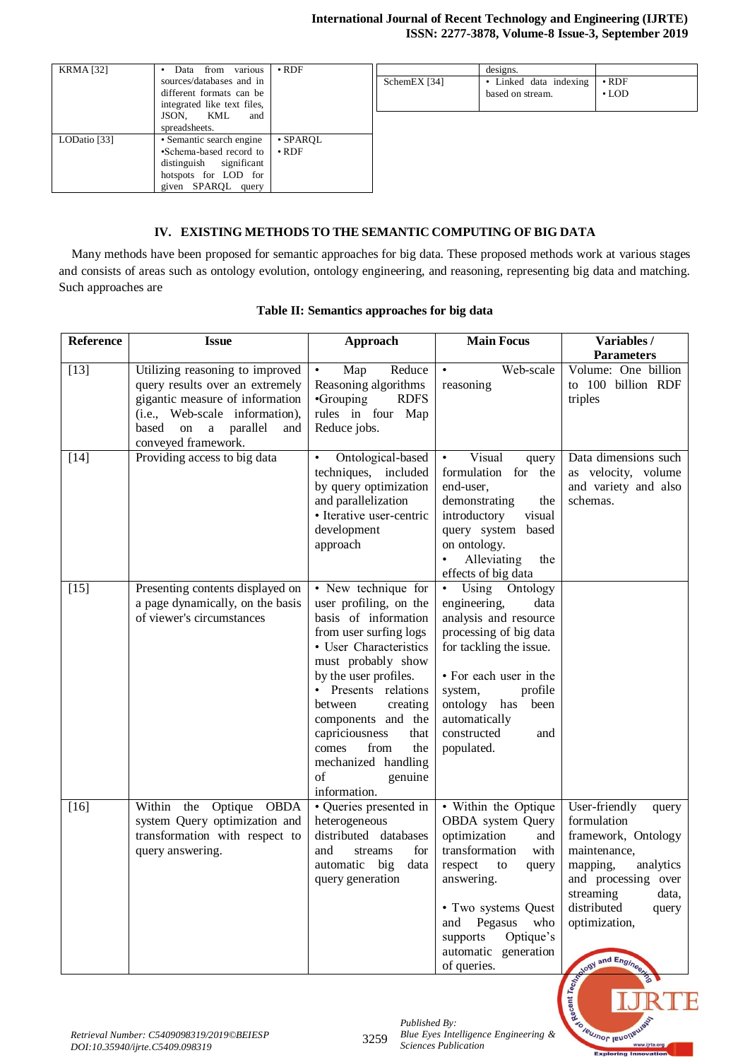| <b>KRMA</b> [32] | Data from various           | $\cdot$ RDF    |              | designs.               |             |
|------------------|-----------------------------|----------------|--------------|------------------------|-------------|
|                  | sources/databases and in    |                | SchemEX [34] | • Linked data indexing | $\cdot$ RDF |
|                  | different formats can be    |                |              | based on stream.       | $\cdot$ LOD |
|                  | integrated like text files, |                |              |                        |             |
|                  | JSON,<br>KML<br>and         |                |              |                        |             |
|                  | spreadsheets.               |                |              |                        |             |
| LODatio [33]     | • Semantic search engine    | $\cdot$ SPAROL |              |                        |             |
|                  | •Schema-based record to     | $\cdot$ RDF    |              |                        |             |
|                  | distinguish significant     |                |              |                        |             |
|                  | hotspots for LOD for        |                |              |                        |             |
|                  | given SPAROL query          |                |              |                        |             |

## **IV. EXISTING METHODS TO THE SEMANTIC COMPUTING OF BIG DATA**

Many methods have been proposed for semantic approaches for big data. These proposed methods work at various stages and consists of areas such as ontology evolution, ontology engineering, and reasoning, representing big data and matching. Such approaches are

| Reference | <b>Issue</b>                                                                                                                                                                                          | Approach                                                                                                                                                                                                                                                                                                                                                | <b>Main Focus</b>                                                                                                                                                                                                                                           | Variables /                                                                                                                                                                                                         |
|-----------|-------------------------------------------------------------------------------------------------------------------------------------------------------------------------------------------------------|---------------------------------------------------------------------------------------------------------------------------------------------------------------------------------------------------------------------------------------------------------------------------------------------------------------------------------------------------------|-------------------------------------------------------------------------------------------------------------------------------------------------------------------------------------------------------------------------------------------------------------|---------------------------------------------------------------------------------------------------------------------------------------------------------------------------------------------------------------------|
|           |                                                                                                                                                                                                       |                                                                                                                                                                                                                                                                                                                                                         |                                                                                                                                                                                                                                                             | <b>Parameters</b>                                                                                                                                                                                                   |
| $[13]$    | Utilizing reasoning to improved<br>query results over an extremely<br>gigantic measure of information<br>(i.e., Web-scale information),<br>based<br>parallel<br>on<br>a<br>and<br>conveyed framework. | Reduce<br>Map<br>$\bullet$<br>Reasoning algorithms<br>•Grouping<br><b>RDFS</b><br>rules in four Map<br>Reduce jobs.                                                                                                                                                                                                                                     | Web-scale<br>$\bullet$<br>reasoning                                                                                                                                                                                                                         | Volume: One billion<br>to 100 billion RDF<br>triples                                                                                                                                                                |
| $[14]$    | Providing access to big data                                                                                                                                                                          | Ontological-based<br>$\bullet$<br>techniques, included<br>by query optimization<br>and parallelization<br>· Iterative user-centric<br>development<br>approach                                                                                                                                                                                           | Visual<br>query<br>formulation for the<br>end-user,<br>demonstrating<br>the<br>introductory<br>visual<br>query system based<br>on ontology.<br>Alleviating<br>the<br>effects of big data                                                                    | Data dimensions such<br>as velocity, volume<br>and variety and also<br>schemas.                                                                                                                                     |
| $[15]$    | Presenting contents displayed on<br>a page dynamically, on the basis<br>of viewer's circumstances                                                                                                     | • New technique for<br>user profiling, on the<br>basis of information<br>from user surfing logs<br>• User Characteristics<br>must probably show<br>by the user profiles.<br>• Presents relations<br>between<br>creating<br>components and the<br>capriciousness<br>that<br>from<br>the<br>comes<br>mechanized handling<br>genuine<br>of<br>information. | Using Ontology<br>$\bullet$<br>engineering,<br>data<br>analysis and resource<br>processing of big data<br>for tackling the issue.<br>• For each user in the<br>system,<br>profile<br>ontology has been<br>automatically<br>constructed<br>and<br>populated. |                                                                                                                                                                                                                     |
| $[16]$    | Within<br>the<br>Optique<br><b>OBDA</b><br>system Query optimization and<br>transformation with respect to<br>query answering.                                                                        | · Queries presented in<br>heterogeneous<br>distributed databases<br>for<br>and<br>streams<br>automatic<br>big<br>data<br>query generation                                                                                                                                                                                                               | • Within the Optique<br>OBDA system Query<br>optimization<br>and<br>transformation<br>with<br>respect<br>to<br>query<br>answering.<br>• Two systems Quest<br>Pegasus<br>who<br>and<br>Optique's<br>supports<br>automatic generation<br>of queries.          | User-friendly<br>query<br>formulation<br>framework, Ontology<br>maintenance,<br>mapping,<br>analytics<br>and processing over<br>streaming<br>data,<br>distributed<br>query<br>optimization,<br>Road and Engineering |

#### **Table II: Semantics approaches for big data**

Recent T

**SO TEUJNOF JEUONED** 

.<br>www.ijrte.org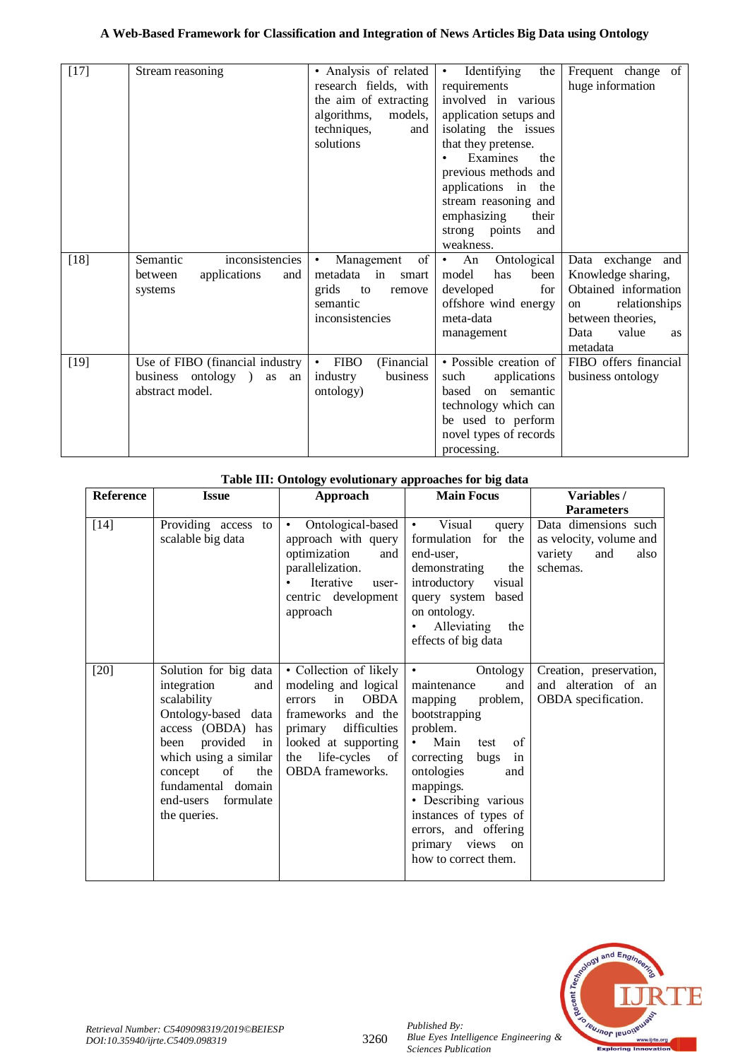## **A Web-Based Framework for Classification and Integration of News Articles Big Data using Ontology**

| $[17]$ | Stream reasoning                                                                      | • Analysis of related<br>research fields, with<br>the aim of extracting<br>algorithms,<br>models,<br>techniques,<br>and<br>solutions | Identifying<br>the<br>$\bullet$<br>requirements<br>involved in various<br>application setups and<br>isolating the issues<br>that they pretense.<br>Examines<br>the<br>previous methods and<br>applications in<br>the<br>stream reasoning and<br>emphasizing<br>their<br>strong points<br>and | Frequent change of<br>huge information                                                                                                                   |
|--------|---------------------------------------------------------------------------------------|--------------------------------------------------------------------------------------------------------------------------------------|----------------------------------------------------------------------------------------------------------------------------------------------------------------------------------------------------------------------------------------------------------------------------------------------|----------------------------------------------------------------------------------------------------------------------------------------------------------|
|        |                                                                                       |                                                                                                                                      | weakness.                                                                                                                                                                                                                                                                                    |                                                                                                                                                          |
| $[18]$ | inconsistencies<br>Semantic<br>applications<br>between<br>and<br>systems              | of<br>Management<br>$\bullet$<br>metadata in<br>smart<br>grids<br>to<br>remove<br>semantic<br>inconsistencies                        | Ontological<br>An<br>$\bullet$<br>model<br>has<br>been<br>for<br>developed<br>offshore wind energy<br>meta-data<br>management                                                                                                                                                                | Data exchange<br>and<br>Knowledge sharing,<br>Obtained information<br>relationships<br>on<br>between theories,<br>Data<br>value<br><b>as</b><br>metadata |
| $[19]$ | Use of FIBO (financial industry<br>business ontology )<br>as<br>an<br>abstract model. | <b>FIBO</b><br>(Financial<br>$\bullet$<br>business<br>industry<br>ontology)                                                          | · Possible creation of<br>such<br>applications<br>on semantic<br>based<br>technology which can<br>be used to perform<br>novel types of records<br>processing.                                                                                                                                | FIBO offers financial<br>business ontology                                                                                                               |

| Table III: Olitology evolutionally approaches for big data |                                                                                                                                                                                                                                                       |                                                                                                                                                                                                  |                                                                                                                                                                                                                                                                                                                                     |                                                                                       |
|------------------------------------------------------------|-------------------------------------------------------------------------------------------------------------------------------------------------------------------------------------------------------------------------------------------------------|--------------------------------------------------------------------------------------------------------------------------------------------------------------------------------------------------|-------------------------------------------------------------------------------------------------------------------------------------------------------------------------------------------------------------------------------------------------------------------------------------------------------------------------------------|---------------------------------------------------------------------------------------|
| <b>Reference</b>                                           | <b>Issue</b>                                                                                                                                                                                                                                          | Approach                                                                                                                                                                                         | <b>Main Focus</b>                                                                                                                                                                                                                                                                                                                   | Variables /                                                                           |
|                                                            |                                                                                                                                                                                                                                                       |                                                                                                                                                                                                  |                                                                                                                                                                                                                                                                                                                                     | <b>Parameters</b>                                                                     |
| $[14]$                                                     | Providing access<br>to<br>scalable big data                                                                                                                                                                                                           | Ontological-based<br>$\bullet$<br>approach with query<br>optimization<br>and<br>parallelization.<br>Iterative<br>user-<br>centric development<br>approach                                        | Visual<br>$\bullet$ . $\bullet$<br>query<br>formulation for the<br>end-user.<br>demonstrating<br>the<br>introductory<br>visual<br>query system based<br>on ontology.<br>Alleviating<br>the<br>effects of big data                                                                                                                   | Data dimensions such<br>as velocity, volume and<br>variety<br>and<br>also<br>schemas. |
| $[20]$                                                     | Solution for big data<br>integration<br>and<br>scalability<br>Ontology-based data<br>access (OBDA) has<br>provided<br>been<br>$\sin$<br>which using a similar<br>the<br>of<br>concept<br>fundamental domain<br>end-users<br>formulate<br>the queries. | • Collection of likely<br>modeling and logical<br><b>OBDA</b><br>errors<br>in<br>frameworks and the<br>difficulties<br>primary<br>looked at supporting<br>the life-cycles of<br>OBDA frameworks. | Ontology<br>$\bullet$<br>maintenance<br>and<br>problem,<br>mapping<br>bootstrapping<br>problem.<br>Main<br>of<br>$\bullet$<br>test<br>correcting<br>bugs<br>in<br>ontologies<br>and<br>mappings.<br>• Describing various<br>instances of types of<br>errors, and offering<br>primary views<br><sub>on</sub><br>how to correct them. | Creation, preservation,<br>and alteration of an<br><b>OBDA</b> specification.         |

# **Table III: Ontology evolutionary approaches for big data**



*Published By: Sciences Publication*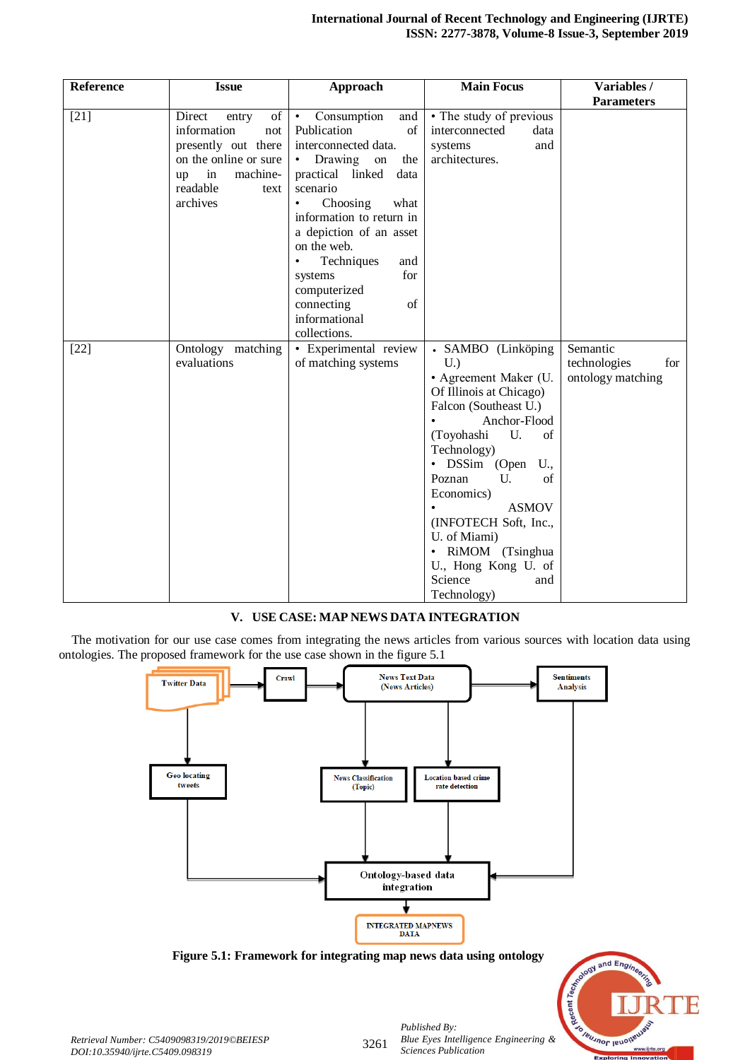| Reference | <b>Issue</b>                                                                                                                                        | Approach                                                                                                                                                                                                                                                                                                                  | <b>Main Focus</b>                                                                                                                                                                                                                                                                                                                                                | Variables /                                          |
|-----------|-----------------------------------------------------------------------------------------------------------------------------------------------------|---------------------------------------------------------------------------------------------------------------------------------------------------------------------------------------------------------------------------------------------------------------------------------------------------------------------------|------------------------------------------------------------------------------------------------------------------------------------------------------------------------------------------------------------------------------------------------------------------------------------------------------------------------------------------------------------------|------------------------------------------------------|
|           |                                                                                                                                                     |                                                                                                                                                                                                                                                                                                                           |                                                                                                                                                                                                                                                                                                                                                                  | <b>Parameters</b>                                    |
| $[21]$    | Direct<br>of<br>entry<br>information<br>not<br>presently out there<br>on the online or sure<br>in<br>machine-<br>up<br>readable<br>text<br>archives | Consumption<br>and<br>$\bullet$<br>Publication<br>$\sigma$ f<br>interconnected data.<br>Drawing<br>the<br>on<br>practical linked<br>data<br>scenario<br>Choosing<br>what<br>information to return in<br>a depiction of an asset<br>on the web.<br>Techniques<br>and<br>for<br>systems<br>computerized<br>connecting<br>of | • The study of previous<br>interconnected<br>data<br>systems<br>and<br>architectures.                                                                                                                                                                                                                                                                            |                                                      |
| $[22]$    | Ontology matching<br>evaluations                                                                                                                    | informational<br>collections.<br>• Experimental review<br>of matching systems                                                                                                                                                                                                                                             | · SAMBO (Linköping<br>U.<br>• Agreement Maker (U.<br>Of Illinois at Chicago)<br>Falcon (Southeast U.)<br>Anchor-Flood<br>(Toyohashi<br>U.<br>of<br>Technology)<br>• DSSim (Open<br>U.,<br>Poznan<br>U.<br>of<br>Economics)<br><b>ASMOV</b><br>(INFOTECH Soft, Inc.,<br>U. of Miami)<br>• RiMOM (Tsinghua<br>U., Hong Kong U. of<br>Science<br>and<br>Technology) | Semantic<br>technologies<br>for<br>ontology matching |

## **V. USE CASE: MAP NEWS DATA INTEGRATION**

The motivation for our use case comes from integrating the news articles from various sources with location data using ontologies. The proposed framework for the use case shown in the figure 5.1



**Figure 5.1: Framework for integrating map news data using ontology**



*Retrieval Number: C5409098319/2019©BEIESP DOI:10.35940/ijrte.C5409.098319*

3261

*Published By: Blue Eyes Intelligence Engineering & Sciences Publication*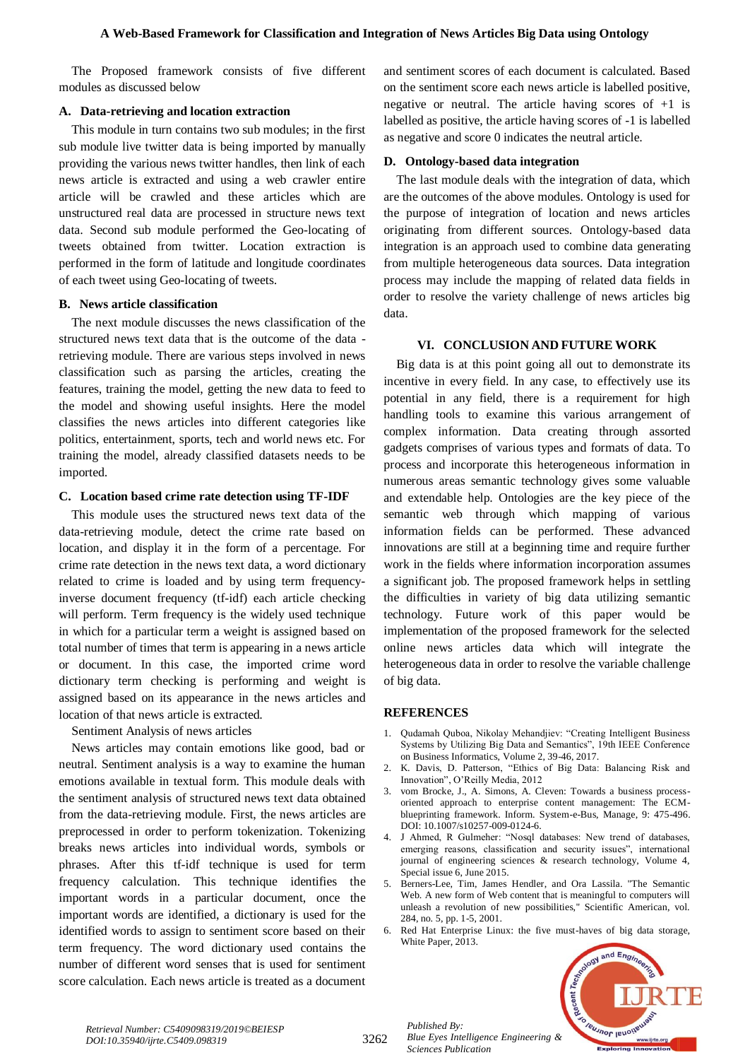The Proposed framework consists of five different modules as discussed below

#### **A. Data-retrieving and location extraction**

This module in turn contains two sub modules; in the first sub module live twitter data is being imported by manually providing the various news twitter handles, then link of each news article is extracted and using a web crawler entire article will be crawled and these articles which are unstructured real data are processed in structure news text data. Second sub module performed the Geo-locating of tweets obtained from twitter. Location extraction is performed in the form of latitude and longitude coordinates of each tweet using Geo-locating of tweets.

#### **B. News article classification**

The next module discusses the news classification of the structured news text data that is the outcome of the data retrieving module. There are various steps involved in news classification such as parsing the articles, creating the features, training the model, getting the new data to feed to the model and showing useful insights. Here the model classifies the news articles into different categories like politics, entertainment, sports, tech and world news etc. For training the model, already classified datasets needs to be imported.

#### **C. Location based crime rate detection using TF-IDF**

This module uses the structured news text data of the data-retrieving module, detect the crime rate based on location, and display it in the form of a percentage. For crime rate detection in the news text data, a word dictionary related to crime is loaded and by using term frequencyinverse document frequency (tf-idf) each article checking will perform. Term frequency is the widely used technique in which for a particular term a weight is assigned based on total number of times that term is appearing in a news article or document. In this case, the imported crime word dictionary term checking is performing and weight is assigned based on its appearance in the news articles and location of that news article is extracted.

Sentiment Analysis of news articles

News articles may contain emotions like good, bad or neutral. Sentiment analysis is a way to examine the human emotions available in textual form. This module deals with the sentiment analysis of structured news text data obtained from the data-retrieving module. First, the news articles are preprocessed in order to perform tokenization. Tokenizing breaks news articles into individual words, symbols or phrases. After this tf-idf technique is used for term frequency calculation. This technique identifies the important words in a particular document, once the important words are identified, a dictionary is used for the identified words to assign to sentiment score based on their term frequency. The word dictionary used contains the number of different word senses that is used for sentiment score calculation. Each news article is treated as a document

and sentiment scores of each document is calculated. Based on the sentiment score each news article is labelled positive, negative or neutral. The article having scores of  $+1$  is labelled as positive, the article having scores of -1 is labelled as negative and score 0 indicates the neutral article.

## **D. Ontology-based data integration**

The last module deals with the integration of data, which are the outcomes of the above modules. Ontology is used for the purpose of integration of location and news articles originating from different sources. Ontology-based data integration is an approach used to combine data generating from multiple heterogeneous data sources. Data integration process may include the mapping of related data fields in order to resolve the variety challenge of news articles big data.

#### **VI. CONCLUSION AND FUTURE WORK**

Big data is at this point going all out to demonstrate its incentive in every field. In any case, to effectively use its potential in any field, there is a requirement for high handling tools to examine this various arrangement of complex information. Data creating through assorted gadgets comprises of various types and formats of data. To process and incorporate this heterogeneous information in numerous areas semantic technology gives some valuable and extendable help. Ontologies are the key piece of the semantic web through which mapping of various information fields can be performed. These advanced innovations are still at a beginning time and require further work in the fields where information incorporation assumes a significant job. The proposed framework helps in settling the difficulties in variety of big data utilizing semantic technology. Future work of this paper would be implementation of the proposed framework for the selected online news articles data which will integrate the heterogeneous data in order to resolve the variable challenge of big data.

## **REFERENCES**

- 1. Qudamah Quboa, Nikolay Mehandjiev: "Creating Intelligent Business Systems by Utilizing Big Data and Semantics", 19th IEEE Conference on Business Informatics, Volume 2, 39-46, 2017.
- 2. K. Davis, D. Patterson, "Ethics of Big Data: Balancing Risk and Innovation", O'Reilly Media, 2012
- 3. vom Brocke, J., A. Simons, A. Cleven: Towards a business processoriented approach to enterprise content management: The ECMblueprinting framework. Inform. System-e-Bus, Manage, 9: 475-496. DOI: 10.1007/s10257-009-0124-6.
- 4. J Ahmed, R Gulmeher: "Nosql databases: New trend of databases, emerging reasons, classification and security issues", international journal of engineering sciences & research technology, Volume 4, Special issue 6, June 2015.
- 5. Berners-Lee, Tim, James Hendler, and Ora Lassila. "The Semantic Web. A new form of Web content that is meaningful to computers will unleash a revolution of new possibilities," Scientific American, vol. 284, no. 5, pp. 1-5, 2001.
- 6. Red Hat Enterprise Linux: the five must-haves of big data storage, White Paper, 2013.



*Published By: Blue Eyes Intelligence Engineering & Sciences Publication*